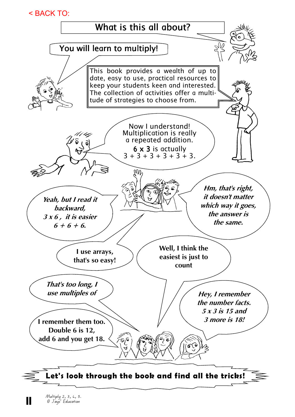## < BACK TO:



Multiply 2, 3, 4, 5. © Jays' Education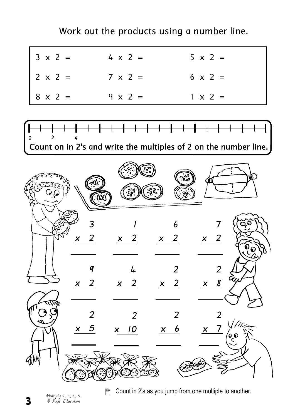

3

Count in 2's as you jump from one multiple to another.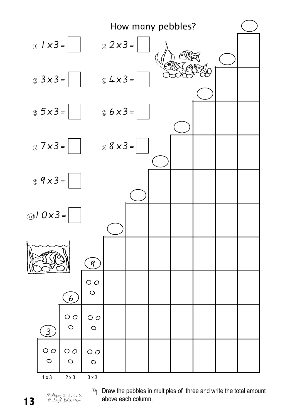

Multiply 2, 3, 4, 5. © Jays' Education

13

■ Draw the pebbles in multiples of three and write the total amount above each column.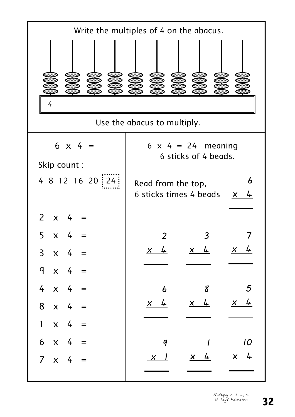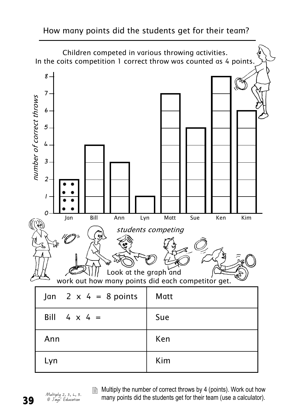

Multiply 2, 3, 4, 5.<br>© Jays' Education

39

 $\mathbb{R}$  Multiply the number of correct throws by 4 (points). Work out how many points did the students get for their team (use a calculator).